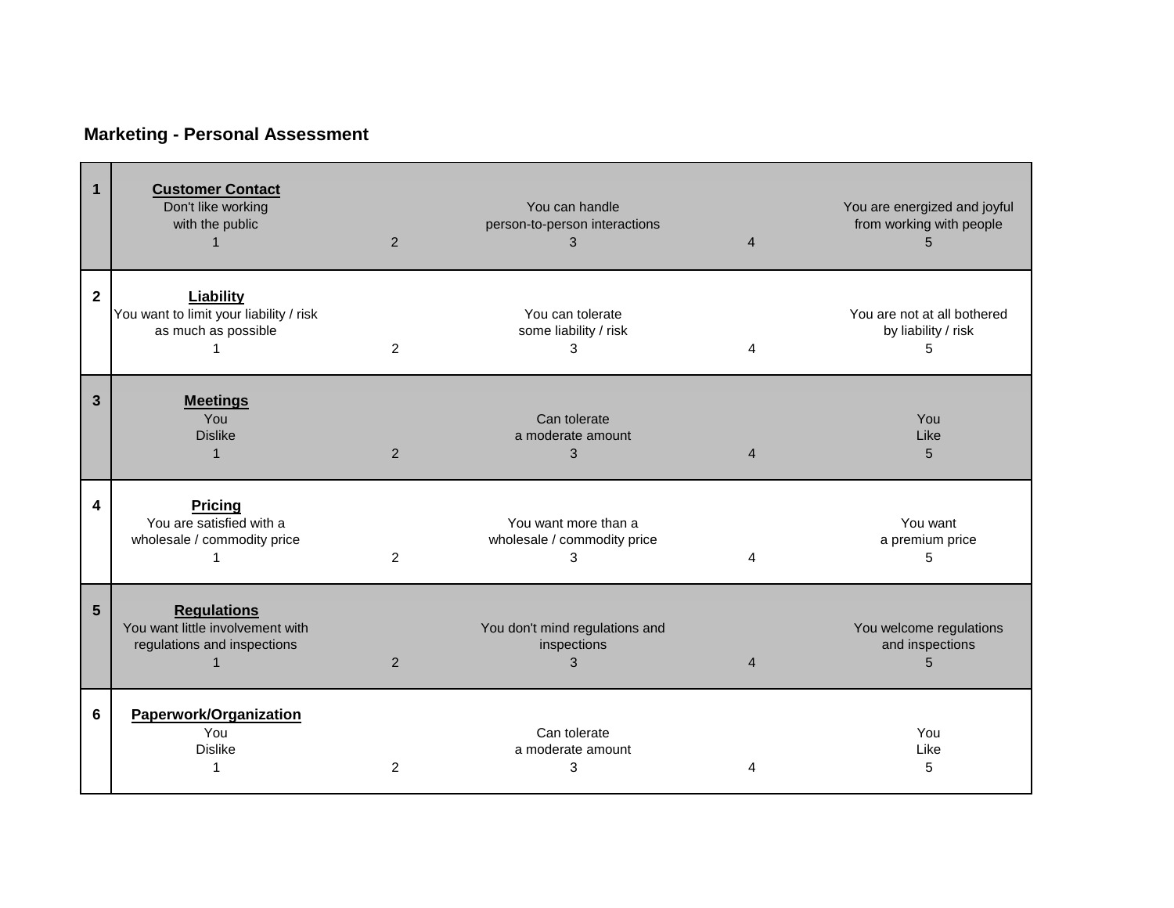## **Marketing - Personal Assessment**

| $\mathbf{1}$   | <b>Customer Contact</b><br>Don't like working<br>with the public                      | 2 | You can handle<br>person-to-person interactions<br>3     | $\overline{4}$             | You are energized and joyful<br>from working with people |
|----------------|---------------------------------------------------------------------------------------|---|----------------------------------------------------------|----------------------------|----------------------------------------------------------|
| $\mathbf{2}$   | Liability<br>You want to limit your liability / risk<br>as much as possible           | 2 | You can tolerate<br>some liability / risk<br>3           | $\boldsymbol{\Lambda}$     | You are not at all bothered<br>by liability / risk<br>5  |
| $\overline{3}$ | <b>Meetings</b><br>You<br><b>Dislike</b><br>1                                         | 2 | Can tolerate<br>a moderate amount<br>3                   | $\boldsymbol{\mathcal{A}}$ | You<br>Like<br>5                                         |
| 4              | <b>Pricing</b><br>You are satisfied with a<br>wholesale / commodity price             | 2 | You want more than a<br>wholesale / commodity price<br>3 | 4                          | You want<br>a premium price<br>5                         |
| 5              | <b>Regulations</b><br>You want little involvement with<br>regulations and inspections | 2 | You don't mind regulations and<br>inspections<br>3       | $\overline{4}$             | You welcome regulations<br>and inspections<br>5          |
| 6              | Paperwork/Organization<br>You<br><b>Dislike</b>                                       | 2 | Can tolerate<br>a moderate amount<br>3                   | Δ                          | You<br>Like<br>5                                         |